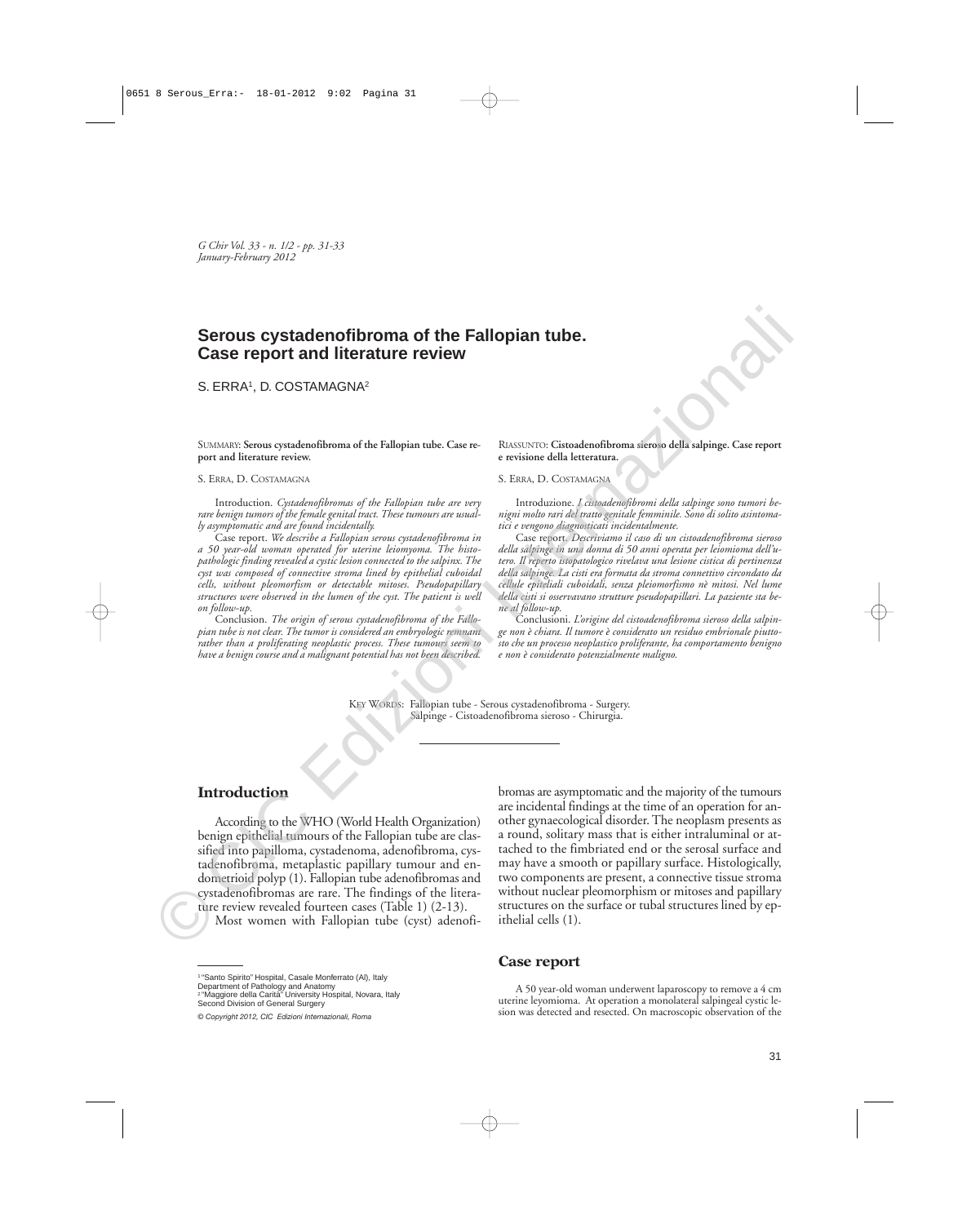*G Chir Vol. 33 - n. 1/2 - pp. 31-33 January-February 2012*

# **Serous cystadenofibroma of the Fallopian tube. Case report and literature review**

S. ERRA<sup>1</sup>, D. COSTAMAGNA<sup>2</sup>

SUMMARY: **Serous cystadenofibroma of the Fallopian tube. Case report and literature review.**

#### S. ERRA, D. COSTAMAGNA

Introduction. *Cystadenofibromas of the Fallopian tube are very rare benign tumors of the female genital tract. These tumours are usually asymptomatic and are found incidentally.* 

Case report. *We describe a Fallopian serous cystadenofibroma in a 50 year-old woman operated for uterine leiomyoma. The histopathologic finding revealed a cystic lesion connected to the salpinx. The cyst was composed of connective stroma lined by epithelial cuboidal cells, without pleomorfism or detectable mitoses. Pseudopapillary structures were observed in the lumen of the cyst. The patient is well on follow-up.* 

Conclusion. *The origin of serous cystadenofibroma of the Fallopian tube is not clear. The tumor is considered an embryologic remnant rather than a proliferating neoplastic process. These tumours seem to have a benign course and a malignant potential has not been described.* 

RIASSUNTO: **Cistoadenofibroma sieroso della salpinge. Case report e revisione della letteratura.**

#### S. ERRA, D. COSTAMAGNA

Introduzione. *I cistoadenofibromi della salpinge sono tumori benigni molto rari del tratto genitale femminile. Sono di solito asintomatici e vengono diagnosticati incidentalmente.*

Case report. *Descriviamo il caso di un cistoadenofibroma sieroso della salpinge in una donna di 50 anni operata per leiomioma dell'utero. Il reperto istopatologico rivelava una lesione cistica di pertinenza della salpinge. La cisti era formata da stroma connettivo circondato da cellule epiteliali cuboidali, senza pleiomorfismo nè mitosi. Nel lume della cisti si osservavano strutture pseudopapillari. La paziente sta bene al follow-up.*

Conclusioni. *L'origine del cistoadenofibroma sieroso della salpinge non è chiara. Il tumore è considerato un residuo embrionale piuttosto che un processo neoplastico proliferante, ha comportamento benigno e non è considerato potenzialmente maligno.*

KEY WORDS: Fallopian tube - Serous cystadenofibroma - Surgery. Salpinge - Cistoadenofibroma sieroso - Chirurgia.

# **Introduction**

According to the WHO (World Health Organization) benign epithelial tumours of the Fallopian tube are classified into papilloma, cystadenoma, adenofibroma, cystadenofibroma, metaplastic papillary tumour and endometrioid polyp (1). Fallopian tube adenofibromas and cystadenofibromas are rare. The findings of the literature review revealed fourteen cases (Table 1) (2-13).

Most women with Fallopian tube (cyst) adenofi-

bromas are asymptomatic and the majority of the tumours are incidental findings at the time of an operation for another gynaecological disorder. The neoplasm presents as a round, solitary mass that is either intraluminal or attached to the fimbriated end or the serosal surface and may have a smooth or papillary surface. Histologically, two components are present, a connective tissue stroma without nuclear pleomorphism or mitoses and papillary structures on the surface or tubal structures lined by epithelial cells (1). **Serous cystadenofibroma of the Fallopian tube.**<br>
Case report and literature review<br>
S. ERRK, D. COSTAMAGNA<sup>2</sup><br>
Service Some terms of the fille plane who case in the continue of the continue of the plane of the plane of t

### **Case report**

A 50 year-old woman underwent laparoscopy to remove a 4 cm uterine leyomioma. At operation a monolateral salpingeal cystic lesion was detected and resected. On macroscopic observation of the

<sup>&</sup>lt;sup>1</sup> "Santo Spirito" Hospital, Casale Monferrato (Al), Italy

Department of Pathology and Anatomy

<sup>2 &</sup>quot;Maggiore della Carità" University Hospital, Novara, Italy Second Division of General Surgery

*<sup>©</sup> Copyright 2012, CIC Edizioni Internazionali, Roma*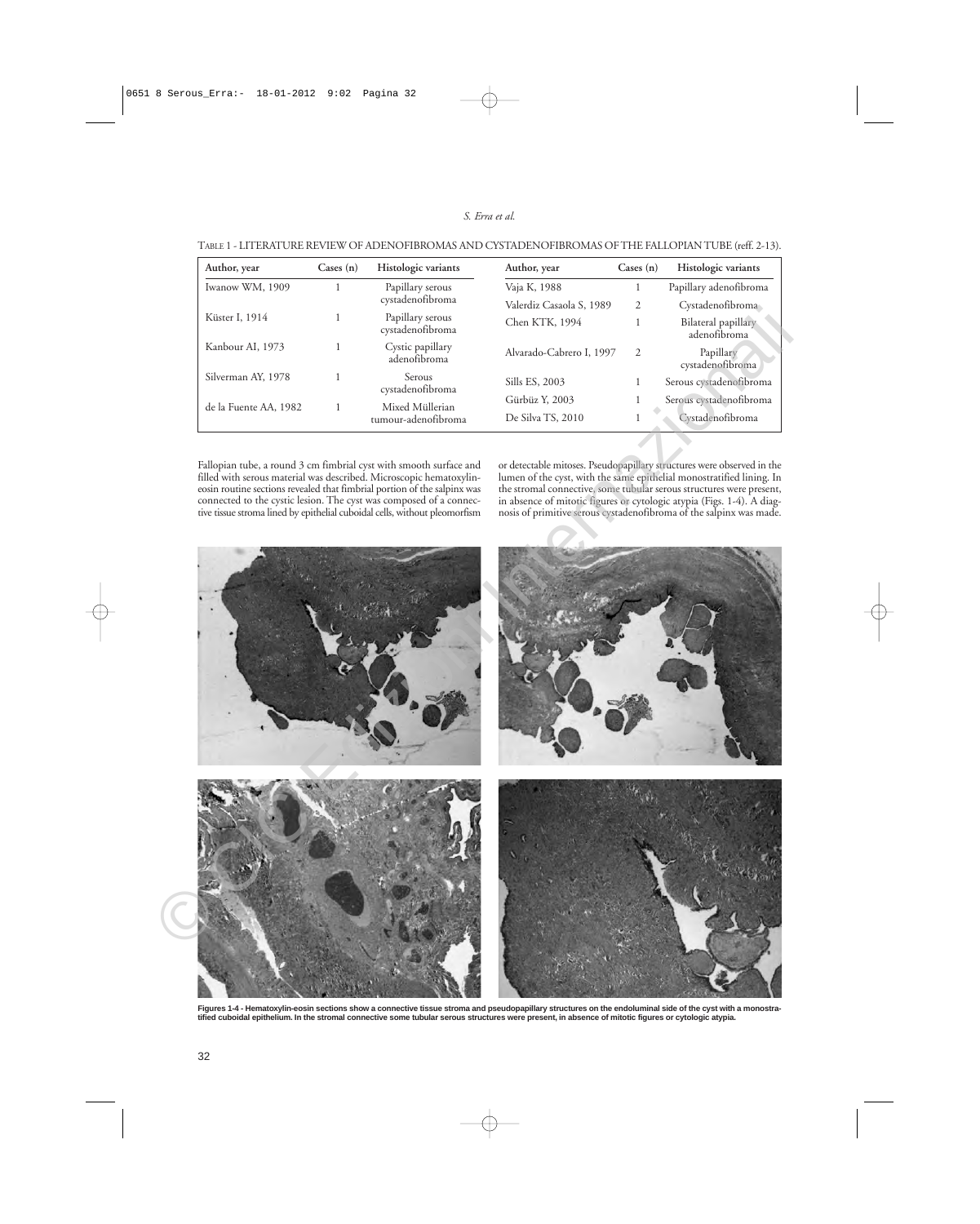### *S. Erra et al.*

| Author, year          | Cases $(n)$ | Histologic variants                    | Author, year                        | Cases $(n)$   | Histologic variants                         |
|-----------------------|-------------|----------------------------------------|-------------------------------------|---------------|---------------------------------------------|
| Iwanow WM, 1909       |             | Papillary serous<br>cystadenofibroma   | Vaja K, 1988                        |               | Papillary adenofibroma                      |
|                       |             |                                        | Valerdiz Casaola S, 1989            | 2             | Cystadenofibroma                            |
| Küster I, 1914        |             | Papillary serous<br>cystadenofibroma   | Chen KTK, 1994                      |               | Bilateral papillary<br>adenofibroma         |
| Kanbour AI, 1973      |             | Cystic papillary<br>adenofibroma       | Alvarado-Cabrero I, 1997            | $\mathcal{L}$ | Papillary<br>cystadenofibroma               |
| Silverman AY, 1978    |             | Serous<br>cystadenofibroma             | Sills ES, 2003                      |               | Serous cystadenofibroma                     |
| de la Fuente AA, 1982 |             | Mixed Müllerian<br>tumour-adenofibroma | Gürbüz Y, 2003<br>De Silva TS, 2010 |               | Serous cystadenofibroma<br>Cystadenofibroma |

| TABLE 1 - LITERATURE REVIEW OF ADENOFIBROMAS AND CYSTADENOFIBROMAS OF THE FALLOPIAN TUBE (reff. 2-13). |
|--------------------------------------------------------------------------------------------------------|
|--------------------------------------------------------------------------------------------------------|

Fallopian tube, a round 3 cm fimbrial cyst with smooth surface and filled with serous material was described. Microscopic hematoxylineosin routine sections revealed that fimbrial portion of the salpinx was connected to the cystic lesion. The cyst was composed of a connective tissue stroma lined by epithelial cuboidal cells, without pleomorfism or detectable mitoses. Pseudopapillary structures were observed in the lumen of the cyst, with the same epithelial monostratified lining. In the stromal connective, some tubular serous structures were present, in absence of mitotic figures or cytologic atypia (Figs. 1-4). A diagnosis of primitive serous cystadenofibroma of the salpinx was made.



Figures 1-4 - Hematoxylin-eosin sections show a connective tissue stroma and pseudopapillary structures on the endoluminal side of the cyst with a monostra-<br>tified cuboidal epithelium. In the stromal connective some tubula